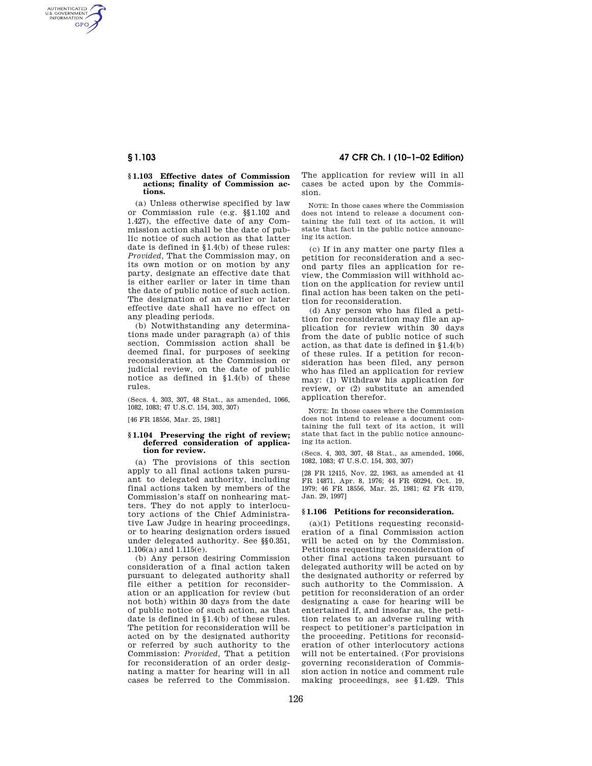AUTHENTICATED<br>U.S. GOVERNMENT<br>INFORMATION **GPO** 

#### **§ 1.103 Effective dates of Commission actions; finality of Commission actions.**

(a) Unless otherwise specified by law or Commission rule (e.g. §§ 1.102 and 1.427), the effective date of any Commission action shall be the date of public notice of such action as that latter date is defined in § 1.4(b) of these rules: *Provided,* That the Commission may, on its own motion or on motion by any party, designate an effective date that is either earlier or later in time than the date of public notice of such action. The designation of an earlier or later effective date shall have no effect on any pleading periods.

(b) Notwithstanding any determinations made under paragraph (a) of this section, Commission action shall be deemed final, for purposes of seeking reconsideration at the Commission or judicial review, on the date of public notice as defined in  $$1.4(b)$  of these rules.

(Secs. 4, 303, 307, 48 Stat., as amended, 1066, 1082, 1083; 47 U.S.C. 154, 303, 307)

[46 FR 18556, Mar. 25, 1981]

### **§ 1.104 Preserving the right of review; deferred consideration of application for review.**

(a) The provisions of this section apply to all final actions taken pursuant to delegated authority, including final actions taken by members of the Commission's staff on nonhearing matters. They do not apply to interlocutory actions of the Chief Administrative Law Judge in hearing proceedings, or to hearing designation orders issued under delegated authority. See §§ 0.351, 1.106(a) and 1.115(e).

(b) Any person desiring Commission consideration of a final action taken pursuant to delegated authority shall file either a petition for reconsideration or an application for review (but not both) within 30 days from the date of public notice of such action, as that date is defined in § 1.4(b) of these rules. The petition for reconsideration will be acted on by the designated authority or referred by such authority to the Commission: *Provided,* That a petition for reconsideration of an order designating a matter for hearing will in all cases be referred to the Commission.

**§ 1.103 47 CFR Ch. I (10–1–02 Edition)**

The application for review will in all cases be acted upon by the Commission.

NOTE: In those cases where the Commission does not intend to release a document containing the full text of its action, it will state that fact in the public notice announcing its action.

(c) If in any matter one party files a petition for reconsideration and a second party files an application for review, the Commission will withhold action on the application for review until final action has been taken on the petition for reconsideration.

(d) Any person who has filed a petition for reconsideration may file an application for review within 30 days from the date of public notice of such action, as that date is defined in § 1.4(b) of these rules. If a petition for reconsideration has been filed, any person who has filed an application for review may: (1) Withdraw his application for review, or (2) substitute an amended application therefor.

NOTE: In those cases where the Commission does not intend to release a document containing the full text of its action, it will state that fact in the public notice announcing its action.

(Secs. 4, 303, 307, 48 Stat., as amended, 1066, 1082, 1083; 47 U.S.C. 154, 303, 307)

[28 FR 12415, Nov. 22, 1963, as amended at 41 FR 14871, Apr. 8, 1976; 44 FR 60294, Oct. 19, 1979; 46 FR 18556, Mar. 25, 1981; 62 FR 4170, Jan. 29, 1997]

#### **§ 1.106 Petitions for reconsideration.**

(a)(1) Petitions requesting reconsideration of a final Commission action will be acted on by the Commission. Petitions requesting reconsideration of other final actions taken pursuant to delegated authority will be acted on by the designated authority or referred by such authority to the Commission. A petition for reconsideration of an order designating a case for hearing will be entertained if, and insofar as, the petition relates to an adverse ruling with respect to petitioner's participation in the proceeding. Petitions for reconsideration of other interlocutory actions will not be entertained. (For provisions governing reconsideration of Commission action in notice and comment rule making proceedings, see § 1.429. This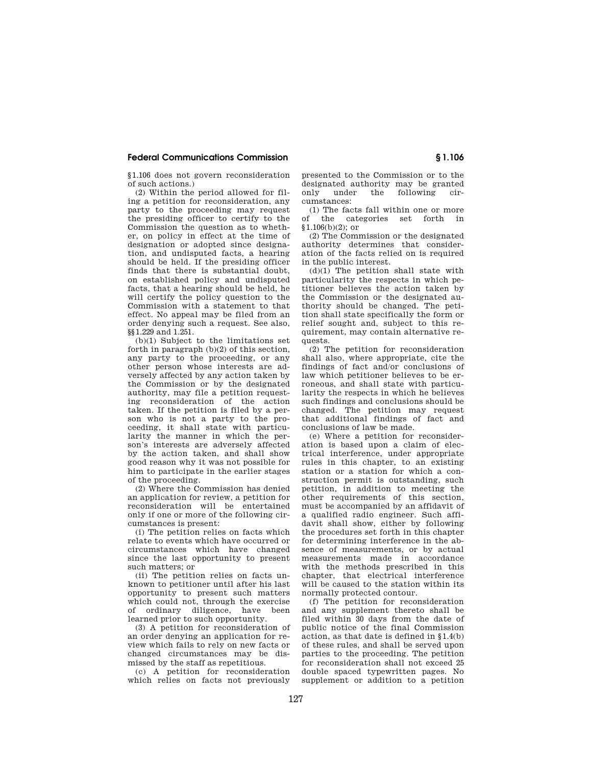# **Federal Communications Commission § 1.106**

§ 1.106 does not govern reconsideration of such actions.)

(2) Within the period allowed for filing a petition for reconsideration, any party to the proceeding may request the presiding officer to certify to the Commission the question as to whether, on policy in effect at the time of designation or adopted since designation, and undisputed facts, a hearing should be held. If the presiding officer finds that there is substantial doubt, on established policy and undisputed facts, that a hearing should be held, he will certify the policy question to the Commission with a statement to that effect. No appeal may be filed from an order denying such a request. See also, §§ 1.229 and 1.251.

(b)(1) Subject to the limitations set forth in paragraph (b)(2) of this section, any party to the proceeding, or any other person whose interests are adversely affected by any action taken by the Commission or by the designated authority, may file a petition requesting reconsideration of the action taken. If the petition is filed by a person who is not a party to the proceeding, it shall state with particularity the manner in which the person's interests are adversely affected by the action taken, and shall show good reason why it was not possible for him to participate in the earlier stages of the proceeding.

(2) Where the Commission has denied an application for review, a petition for reconsideration will be entertained only if one or more of the following circumstances is present:

(i) The petition relies on facts which relate to events which have occurred or circumstances which have changed since the last opportunity to present such matters; or

(ii) The petition relies on facts unknown to petitioner until after his last opportunity to present such matters which could not, through the exercise<br>of ordinary diligence have been of ordinary diligence, have learned prior to such opportunity.

(3) A petition for reconsideration of an order denying an application for review which fails to rely on new facts or changed circumstances may be dismissed by the staff as repetitious.

(c) A petition for reconsideration which relies on facts not previously

presented to the Commission or to the designated authority may be granted only under the following circumstances:

(1) The facts fall within one or more of the categories set forth in  $$1.106(b)(2):$  or

(2) The Commission or the designated authority determines that consideration of the facts relied on is required in the public interest.

 $(d)(1)$  The petition shall state with particularity the respects in which petitioner believes the action taken by the Commission or the designated authority should be changed. The petition shall state specifically the form or relief sought and, subject to this requirement, may contain alternative requests.

(2) The petition for reconsideration shall also, where appropriate, cite the findings of fact and/or conclusions of law which petitioner believes to be erroneous, and shall state with particularity the respects in which he believes such findings and conclusions should be changed. The petition may request that additional findings of fact and conclusions of law be made.

(e) Where a petition for reconsideration is based upon a claim of electrical interference, under appropriate rules in this chapter, to an existing station or a station for which a construction permit is outstanding, such petition, in addition to meeting the other requirements of this section, must be accompanied by an affidavit of a qualified radio engineer. Such affidavit shall show, either by following the procedures set forth in this chapter for determining interference in the absence of measurements, or by actual measurements made in accordance with the methods prescribed in this chapter, that electrical interference will be caused to the station within its normally protected contour.

(f) The petition for reconsideration and any supplement thereto shall be filed within 30 days from the date of public notice of the final Commission action, as that date is defined in § 1.4(b) of these rules, and shall be served upon parties to the proceeding. The petition for reconsideration shall not exceed 25 double spaced typewritten pages. No supplement or addition to a petition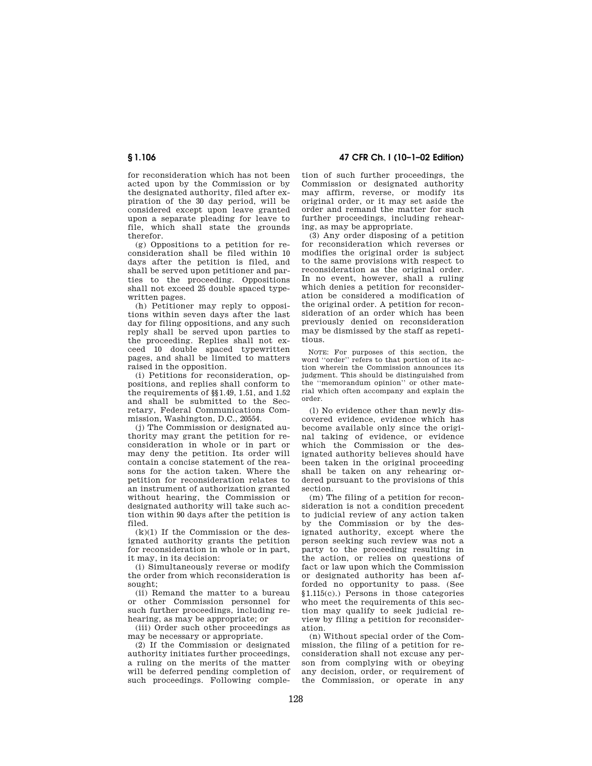for reconsideration which has not been acted upon by the Commission or by the designated authority, filed after expiration of the 30 day period, will be considered except upon leave granted upon a separate pleading for leave to file, which shall state the grounds therefor.

(g) Oppositions to a petition for reconsideration shall be filed within 10 days after the petition is filed, and shall be served upon petitioner and parties to the proceeding. Oppositions shall not exceed 25 double spaced typewritten pages.

(h) Petitioner may reply to oppositions within seven days after the last day for filing oppositions, and any such reply shall be served upon parties to the proceeding. Replies shall not exceed 10 double spaced typewritten pages, and shall be limited to matters raised in the opposition.

(i) Petitions for reconsideration, oppositions, and replies shall conform to the requirements of §§ 1.49, 1.51, and 1.52 and shall be submitted to the Secretary, Federal Communications Commission, Washington, D.C., 20554.

(j) The Commission or designated authority may grant the petition for reconsideration in whole or in part or may deny the petition. Its order will contain a concise statement of the reasons for the action taken. Where the petition for reconsideration relates to an instrument of authorization granted without hearing, the Commission or designated authority will take such action within 90 days after the petition is filed.

(k)(1) If the Commission or the designated authority grants the petition for reconsideration in whole or in part, it may, in its decision:

(i) Simultaneously reverse or modify the order from which reconsideration is sought:

(ii) Remand the matter to a bureau or other Commission personnel for such further proceedings, including rehearing, as may be appropriate; or

(iii) Order such other proceedings as may be necessary or appropriate.

(2) If the Commission or designated authority initiates further proceedings, a ruling on the merits of the matter will be deferred pending completion of such proceedings. Following comple-

**§ 1.106 47 CFR Ch. I (10–1–02 Edition)**

tion of such further proceedings, the Commission or designated authority may affirm, reverse, or modify its original order, or it may set aside the order and remand the matter for such further proceedings, including rehearing, as may be appropriate.

(3) Any order disposing of a petition for reconsideration which reverses or modifies the original order is subject to the same provisions with respect to reconsideration as the original order. In no event, however, shall a ruling which denies a petition for reconsideration be considered a modification of the original order. A petition for reconsideration of an order which has been previously denied on reconsideration may be dismissed by the staff as repetitious.

NOTE: For purposes of this section, the word ''order'' refers to that portion of its action wherein the Commission announces its judgment. This should be distinguished from<br>the "memorandum opinion" or other mate-"memorandum opinion" or other material which often accompany and explain the order.

(l) No evidence other than newly discovered evidence, evidence which has become available only since the original taking of evidence, or evidence which the Commission or the designated authority believes should have been taken in the original proceeding shall be taken on any rehearing ordered pursuant to the provisions of this section.

(m) The filing of a petition for reconsideration is not a condition precedent to judicial review of any action taken by the Commission or by the designated authority, except where the person seeking such review was not a party to the proceeding resulting in the action, or relies on questions of fact or law upon which the Commission or designated authority has been afforded no opportunity to pass. (See § 1.115(c).) Persons in those categories who meet the requirements of this section may qualify to seek judicial review by filing a petition for reconsideration.

(n) Without special order of the Commission, the filing of a petition for reconsideration shall not excuse any person from complying with or obeying any decision, order, or requirement of the Commission, or operate in any